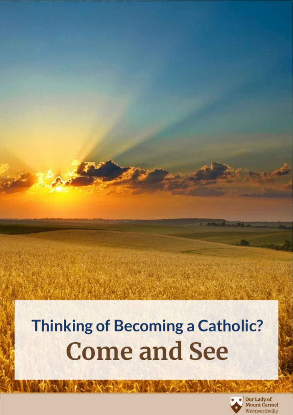# **Thinking of Becoming a Catholic? Come and See**

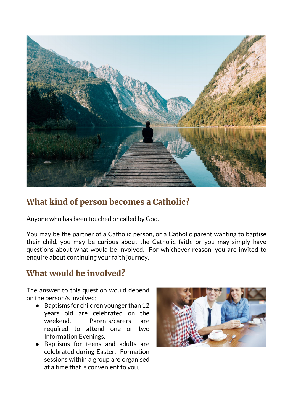

## What kind of person becomes a Catholic?

Anyone who has been touched or called by God.

You may be the partner of a Catholic person, or a Catholic parent wanting to baptise their child, you may be curious about the Catholic faith, or you may simply have questions about what would be involved. For whichever reason, you are invited to enquire about continuing your faith journey.

#### What would be involved?

The answer to this question would depend on the person/s involved;

- Baptisms for children younger than 12 years old are celebrated on the weekend. Parents/carers are required to attend one or two Information Evenings.
- Baptisms for teens and adults are celebrated during Easter. Formation sessions within a group are organised at a time that is convenient to you.

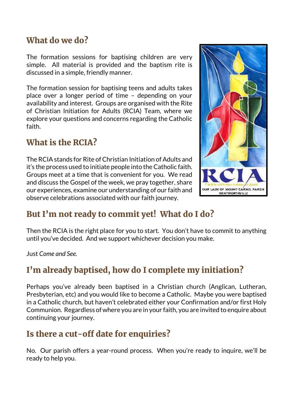#### What do we do?

The formation sessions for baptising children are very simple. All material is provided and the baptism rite is discussed in a simple, friendly manner.

The formation session for baptising teens and adults takes place over a longer period of time – depending on your availability and interest. Groups are organised with the Rite of Christian Initiation for Adults (RCIA) Team, where we explore your questions and concerns regarding the Catholic faith.

#### What is the RCIA?

The RCIA stands for Rite of Christian Initiation of Adults and it's the process used to initiate people into the Catholic faith. Groups meet at a time that is convenient for you. We read and discuss the Gospel of the week, we pray together, share our experiences, examine our understanding of our faith and observe celebrations associated with our faith journey.



## But I'm not ready to commit yet! What do I do?

Then the RCIA is the right place for you to start. You don't have to commit to anything until you've decided. And we support whichever decision you make.

Just *Come and See.*

## I'm already baptised, how do I complete my initiation?

Perhaps you've already been baptised in a Christian church (Anglican, Lutheran, Presbyterian, etc) and you would like to become a Catholic. Maybe you were baptised in a Catholic church, but haven't celebrated either your Confirmation and/or first Holy Communion. Regardless of where you are in your faith, you are invited to enquire about continuing your journey.

## Is there a cut-off date for enquiries?

No. Our parish offers a year-round process. When you're ready to inquire, we'll be ready to help you.